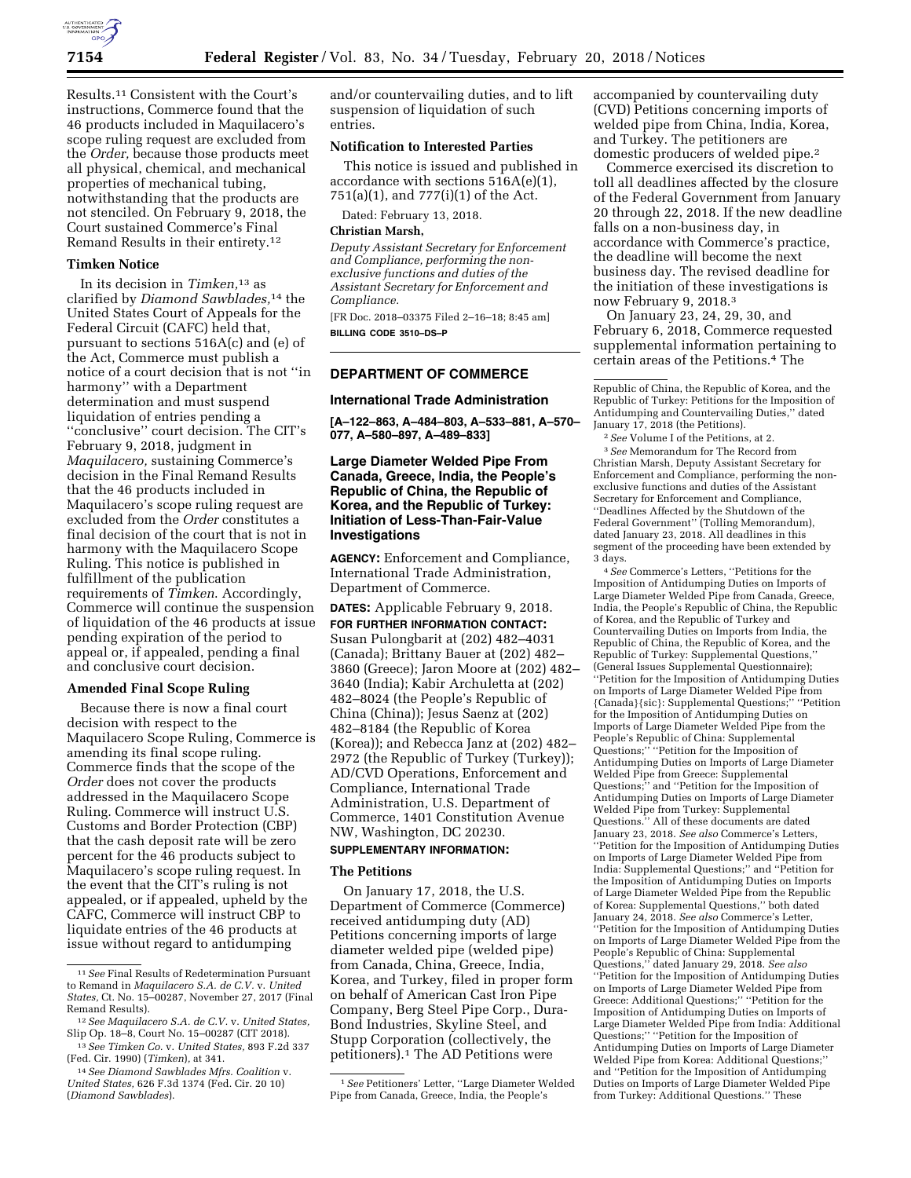

Results.11 Consistent with the Court's instructions, Commerce found that the 46 products included in Maquilacero's scope ruling request are excluded from the *Order,* because those products meet all physical, chemical, and mechanical properties of mechanical tubing, notwithstanding that the products are not stenciled. On February 9, 2018, the Court sustained Commerce's Final Remand Results in their entirety.12

### **Timken Notice**

In its decision in *Timken,*13 as clarified by *Diamond Sawblades,*14 the United States Court of Appeals for the Federal Circuit (CAFC) held that, pursuant to sections 516A(c) and (e) of the Act, Commerce must publish a notice of a court decision that is not ''in harmony'' with a Department determination and must suspend liquidation of entries pending a ''conclusive'' court decision. The CIT's February 9, 2018, judgment in *Maquilacero,* sustaining Commerce's decision in the Final Remand Results that the 46 products included in Maquilacero's scope ruling request are excluded from the *Order* constitutes a final decision of the court that is not in harmony with the Maquilacero Scope Ruling. This notice is published in fulfillment of the publication requirements of *Timken*. Accordingly, Commerce will continue the suspension of liquidation of the 46 products at issue pending expiration of the period to appeal or, if appealed, pending a final and conclusive court decision.

### **Amended Final Scope Ruling**

Because there is now a final court decision with respect to the Maquilacero Scope Ruling, Commerce is amending its final scope ruling. Commerce finds that the scope of the *Order* does not cover the products addressed in the Maquilacero Scope Ruling. Commerce will instruct U.S. Customs and Border Protection (CBP) that the cash deposit rate will be zero percent for the 46 products subject to Maquilacero's scope ruling request. In the event that the CIT's ruling is not appealed, or if appealed, upheld by the CAFC, Commerce will instruct CBP to liquidate entries of the 46 products at issue without regard to antidumping

and/or countervailing duties, and to lift suspension of liquidation of such entries.

# **Notification to Interested Parties**

This notice is issued and published in accordance with sections 516A(e)(1), 751(a)(1), and 777(i)(1) of the Act.

Dated: February 13, 2018.

#### **Christian Marsh,**

*Deputy Assistant Secretary for Enforcement and Compliance, performing the nonexclusive functions and duties of the Assistant Secretary for Enforcement and Compliance.* 

[FR Doc. 2018–03375 Filed 2–16–18; 8:45 am] **BILLING CODE 3510–DS–P** 

# **DEPARTMENT OF COMMERCE**

#### **International Trade Administration**

**[A–122–863, A–484–803, A–533–881, A–570– 077, A–580–897, A–489–833]** 

# **Large Diameter Welded Pipe From Canada, Greece, India, the People's Republic of China, the Republic of Korea, and the Republic of Turkey: Initiation of Less-Than-Fair-Value Investigations**

**AGENCY:** Enforcement and Compliance, International Trade Administration, Department of Commerce.

**DATES:** Applicable February 9, 2018. **FOR FURTHER INFORMATION CONTACT:**  Susan Pulongbarit at (202) 482–4031 (Canada); Brittany Bauer at (202) 482– 3860 (Greece); Jaron Moore at (202) 482– 3640 (India); Kabir Archuletta at (202) 482–8024 (the People's Republic of China (China)); Jesus Saenz at (202) 482–8184 (the Republic of Korea (Korea)); and Rebecca Janz at (202) 482– 2972 (the Republic of Turkey (Turkey)); AD/CVD Operations, Enforcement and Compliance, International Trade Administration, U.S. Department of Commerce, 1401 Constitution Avenue NW, Washington, DC 20230.

# **SUPPLEMENTARY INFORMATION:**

# **The Petitions**

On January 17, 2018, the U.S. Department of Commerce (Commerce) received antidumping duty (AD) Petitions concerning imports of large diameter welded pipe (welded pipe) from Canada, China, Greece, India, Korea, and Turkey, filed in proper form on behalf of American Cast Iron Pipe Company, Berg Steel Pipe Corp., Dura-Bond Industries, Skyline Steel, and Stupp Corporation (collectively, the petitioners).1 The AD Petitions were

accompanied by countervailing duty (CVD) Petitions concerning imports of welded pipe from China, India, Korea, and Turkey. The petitioners are domestic producers of welded pipe.2

Commerce exercised its discretion to toll all deadlines affected by the closure of the Federal Government from January 20 through 22, 2018. If the new deadline falls on a non-business day, in accordance with Commerce's practice, the deadline will become the next business day. The revised deadline for the initiation of these investigations is now February 9, 2018.3

On January 23, 24, 29, 30, and February 6, 2018, Commerce requested supplemental information pertaining to certain areas of the Petitions.4 The

Republic of China, the Republic of Korea, and the Republic of Turkey: Petitions for the Imposition of Antidumping and Countervailing Duties,'' dated January 17, 2018 (the Petitions).

2*See* Volume I of the Petitions, at 2. 3*See* Memorandum for The Record from Christian Marsh, Deputy Assistant Secretary for Enforcement and Compliance, performing the nonexclusive functions and duties of the Assistant Secretary for Enforcement and Compliance, ''Deadlines Affected by the Shutdown of the Federal Government'' (Tolling Memorandum), dated January 23, 2018. All deadlines in this segment of the proceeding have been extended by 3 days.

4*See* Commerce's Letters, ''Petitions for the Imposition of Antidumping Duties on Imports of Large Diameter Welded Pipe from Canada, Greece, India, the People's Republic of China, the Republic of Korea, and the Republic of Turkey and Countervailing Duties on Imports from India, the Republic of China, the Republic of Korea, and the Republic of Turkey: Supplemental Questions,'' (General Issues Supplemental Questionnaire); ''Petition for the Imposition of Antidumping Duties on Imports of Large Diameter Welded Pipe from {Canada}{sic}: Supplemental Questions;'' ''Petition for the Imposition of Antidumping Duties on Imports of Large Diameter Welded Pipe from the People's Republic of China: Supplemental Questions;'' ''Petition for the Imposition of Antidumping Duties on Imports of Large Diameter Welded Pipe from Greece: Supplemental Questions;'' and ''Petition for the Imposition of Antidumping Duties on Imports of Large Diameter Welded Pipe from Turkey: Supplemental Questions.'' All of these documents are dated January 23, 2018. *See also* Commerce's Letters, ''Petition for the Imposition of Antidumping Duties on Imports of Large Diameter Welded Pipe from India: Supplemental Questions;'' and ''Petition for the Imposition of Antidumping Duties on Imports of Large Diameter Welded Pipe from the Republic of Korea: Supplemental Questions,'' both dated January 24, 2018. *See also* Commerce's Letter, ''Petition for the Imposition of Antidumping Duties on Imports of Large Diameter Welded Pipe from the People's Republic of China: Supplemental Questions,'' dated January 29, 2018. *See also*  ''Petition for the Imposition of Antidumping Duties on Imports of Large Diameter Welded Pipe from Greece: Additional Questions;'' ''Petition for the Imposition of Antidumping Duties on Imports of Large Diameter Welded Pipe from India: Additional Questions;'' ''Petition for the Imposition of Antidumping Duties on Imports of Large Diameter Welded Pipe from Korea: Additional Questions;'' and ''Petition for the Imposition of Antidumping Duties on Imports of Large Diameter Welded Pipe from Turkey: Additional Questions.'' These

<sup>11</sup>*See* Final Results of Redetermination Pursuant to Remand in *Maquilacero S.A. de C.V.* v. *United States,* Ct. No. 15–00287, November 27, 2017 (Final Remand Results).

<sup>12</sup>*See Maquilacero S.A. de C.V.* v. *United States,*  Slip Op. 18–8, Court No. 15–00287 (CIT 2018).

<sup>13</sup>*See Timken Co.* v. *United States,* 893 F.2d 337 (Fed. Cir. 1990) (*Timken*)*,* at 341.

<sup>14</sup>*See Diamond Sawblades Mfrs. Coalition* v. *United States,* 626 F.3d 1374 (Fed. Cir. 20 10) (*Diamond Sawblades*).

<sup>1</sup>*See* Petitioners' Letter, ''Large Diameter Welded Pipe from Canada, Greece, India, the People's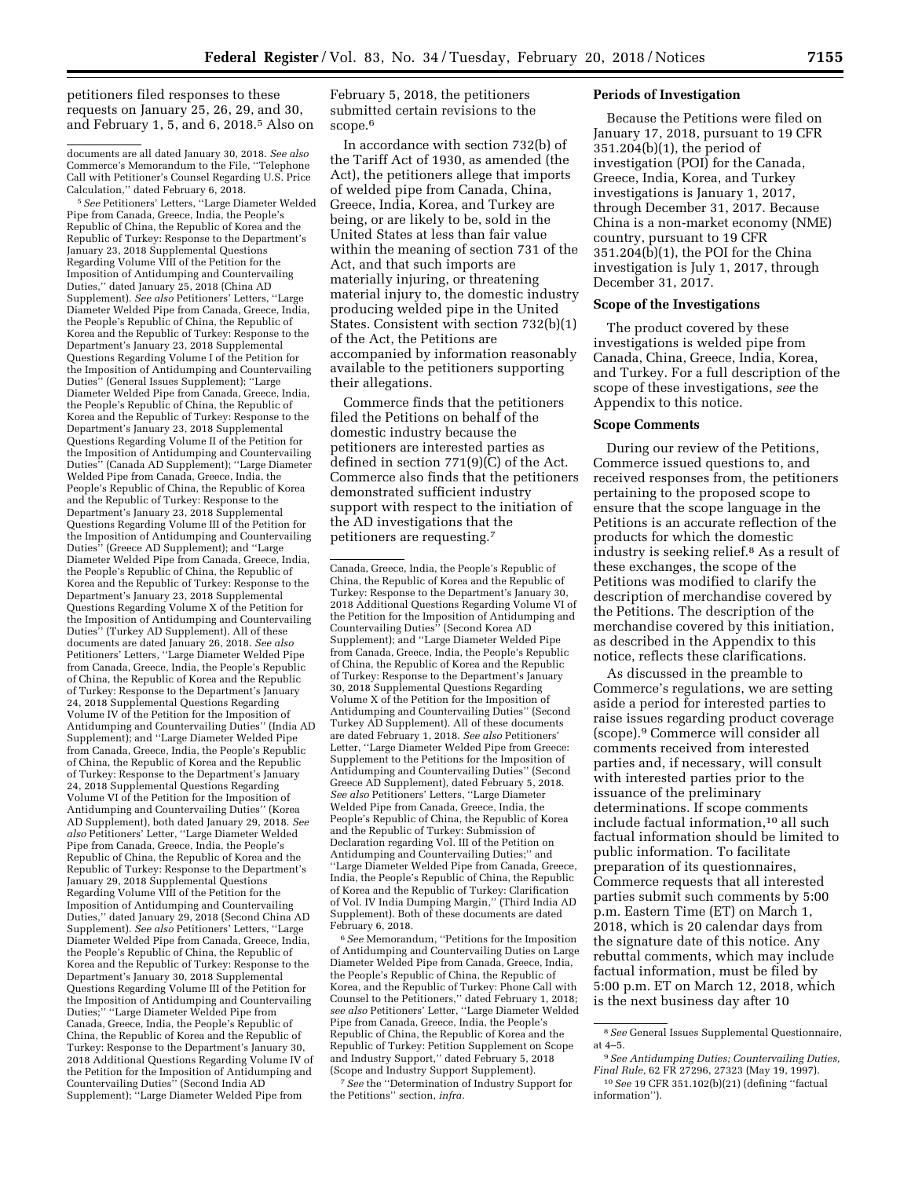petitioners filed responses to these requests on January 25, 26, 29, and 30, and February 1, 5, and 6, 2018.5 Also on

documents are all dated January 30, 2018. *See also*  Commerce's Memorandum to the File, ''Telephone Call with Petitioner's Counsel Regarding U.S. Price Calculation,'' dated February 6, 2018.

5*See* Petitioners' Letters, ''Large Diameter Welded Pipe from Canada, Greece, India, the People's Republic of China, the Republic of Korea and the Republic of Turkey: Response to the Department's January 23, 2018 Supplemental Questions Regarding Volume VIII of the Petition for the Imposition of Antidumping and Countervailing Duties,'' dated January 25, 2018 (China AD Supplement). *See also* Petitioners' Letters, ''Large Diameter Welded Pipe from Canada, Greece, India, the People's Republic of China, the Republic of Korea and the Republic of Turkey: Response to the Department's January 23, 2018 Supplemental Questions Regarding Volume I of the Petition for the Imposition of Antidumping and Countervailing Duties" (General Issues Supplement); "Large Diameter Welded Pipe from Canada, Greece, India, the People's Republic of China, the Republic of Korea and the Republic of Turkey: Response to the Department's January 23, 2018 Supplemental Questions Regarding Volume II of the Petition for the Imposition of Antidumping and Countervailing Duties'' (Canada AD Supplement); ''Large Diameter Welded Pipe from Canada, Greece, India, the People's Republic of China, the Republic of Korea and the Republic of Turkey: Response to the Department's January 23, 2018 Supplemental Questions Regarding Volume III of the Petition for the Imposition of Antidumping and Countervailing Duties'' (Greece AD Supplement); and ''Large Diameter Welded Pipe from Canada, Greece, India, the People's Republic of China, the Republic of Korea and the Republic of Turkey: Response to the Department's January 23, 2018 Supplemental Questions Regarding Volume X of the Petition for the Imposition of Antidumping and Countervailing Duties'' (Turkey AD Supplement). All of these documents are dated January 26, 2018. *See also*  Petitioners' Letters, ''Large Diameter Welded Pipe from Canada, Greece, India, the People's Republic of China, the Republic of Korea and the Republic of Turkey: Response to the Department's January 24, 2018 Supplemental Questions Regarding Volume IV of the Petition for the Imposition of Antidumping and Countervailing Duties'' (India AD Supplement); and ''Large Diameter Welded Pipe from Canada, Greece, India, the People's Republic of China, the Republic of Korea and the Republic of Turkey: Response to the Department's January 24, 2018 Supplemental Questions Regarding Volume VI of the Petition for the Imposition of Antidumping and Countervailing Duties'' (Korea AD Supplement), both dated January 29, 2018. *See also* Petitioners' Letter, ''Large Diameter Welded Pipe from Canada, Greece, India, the People's Republic of China, the Republic of Korea and the Republic of Turkey: Response to the Department's January 29, 2018 Supplemental Questions Regarding Volume VIII of the Petition for the Imposition of Antidumping and Countervailing Duties,'' dated January 29, 2018 (Second China AD Supplement). *See also* Petitioners' Letters, ''Large Diameter Welded Pipe from Canada, Greece, India, the People's Republic of China, the Republic of Korea and the Republic of Turkey: Response to the Department's January 30, 2018 Supplemental Questions Regarding Volume III of the Petition for the Imposition of Antidumping and Countervailing Duties;'' ''Large Diameter Welded Pipe from Canada, Greece, India, the People's Republic of China, the Republic of Korea and the Republic of Turkey: Response to the Department's January 30, 2018 Additional Questions Regarding Volume IV of the Petition for the Imposition of Antidumping and Countervailing Duties'' (Second India AD Supplement); ''Large Diameter Welded Pipe from

February 5, 2018, the petitioners submitted certain revisions to the scope.<sup>6</sup>

In accordance with section 732(b) of the Tariff Act of 1930, as amended (the Act), the petitioners allege that imports of welded pipe from Canada, China, Greece, India, Korea, and Turkey are being, or are likely to be, sold in the United States at less than fair value within the meaning of section 731 of the Act, and that such imports are materially injuring, or threatening material injury to, the domestic industry producing welded pipe in the United States. Consistent with section 732(b)(1) of the Act, the Petitions are accompanied by information reasonably available to the petitioners supporting their allegations.

Commerce finds that the petitioners filed the Petitions on behalf of the domestic industry because the petitioners are interested parties as defined in section 771(9)(C) of the Act. Commerce also finds that the petitioners demonstrated sufficient industry support with respect to the initiation of the AD investigations that the petitioners are requesting.7

6*See* Memorandum, ''Petitions for the Imposition of Antidumping and Countervailing Duties on Large Diameter Welded Pipe from Canada, Greece, India, the People's Republic of China, the Republic of Korea, and the Republic of Turkey: Phone Call with Counsel to the Petitioners,'' dated February 1, 2018; *see also* Petitioners' Letter, ''Large Diameter Welded Pipe from Canada, Greece, India, the People's Republic of China, the Republic of Korea and the Republic of Turkey: Petition Supplement on Scope and Industry Support,'' dated February 5, 2018 (Scope and Industry Support Supplement).

7*See* the ''Determination of Industry Support for the Petitions'' section, *infra.* 

#### **Periods of Investigation**

Because the Petitions were filed on January 17, 2018, pursuant to 19 CFR 351.204(b)(1), the period of investigation (POI) for the Canada, Greece, India, Korea, and Turkey investigations is January 1, 2017, through December 31, 2017. Because China is a non-market economy (NME) country, pursuant to 19 CFR  $351.204(b)(1)$ , the POI for the China investigation is July 1, 2017, through December 31, 2017.

### **Scope of the Investigations**

The product covered by these investigations is welded pipe from Canada, China, Greece, India, Korea, and Turkey. For a full description of the scope of these investigations, *see* the Appendix to this notice.

#### **Scope Comments**

During our review of the Petitions, Commerce issued questions to, and received responses from, the petitioners pertaining to the proposed scope to ensure that the scope language in the Petitions is an accurate reflection of the products for which the domestic industry is seeking relief.8 As a result of these exchanges, the scope of the Petitions was modified to clarify the description of merchandise covered by the Petitions. The description of the merchandise covered by this initiation, as described in the Appendix to this notice, reflects these clarifications.

As discussed in the preamble to Commerce's regulations, we are setting aside a period for interested parties to raise issues regarding product coverage (scope).9 Commerce will consider all comments received from interested parties and, if necessary, will consult with interested parties prior to the issuance of the preliminary determinations. If scope comments include factual information,10 all such factual information should be limited to public information. To facilitate preparation of its questionnaires, Commerce requests that all interested parties submit such comments by 5:00 p.m. Eastern Time (ET) on March 1, 2018, which is 20 calendar days from the signature date of this notice. Any rebuttal comments, which may include factual information, must be filed by 5:00 p.m. ET on March 12, 2018, which is the next business day after 10

Canada, Greece, India, the People's Republic of China, the Republic of Korea and the Republic of Turkey: Response to the Department's January 30, 2018 Additional Questions Regarding Volume VI of the Petition for the Imposition of Antidumping and Countervailing Duties'' (Second Korea AD Supplement); and ''Large Diameter Welded Pipe from Canada, Greece, India, the People's Republic of China, the Republic of Korea and the Republic of Turkey: Response to the Department's January 30, 2018 Supplemental Questions Regarding Volume X of the Petition for the Imposition of Antidumping and Countervailing Duties'' (Second Turkey AD Supplement). All of these documents are dated February 1, 2018. *See also* Petitioners' Letter, ''Large Diameter Welded Pipe from Greece: Supplement to the Petitions for the Imposition of Antidumping and Countervailing Duties'' (Second Greece AD Supplement), dated February 5, 2018. *See also* Petitioners' Letters, ''Large Diameter Welded Pipe from Canada, Greece, India, the People's Republic of China, the Republic of Korea and the Republic of Turkey: Submission of Declaration regarding Vol. III of the Petition on Antidumping and Countervailing Duties;'' and ''Large Diameter Welded Pipe from Canada, Greece, India, the People's Republic of China, the Republic of Korea and the Republic of Turkey: Clarification of Vol. IV India Dumping Margin,'' (Third India AD Supplement). Both of these documents are dated February 6, 2018.

<sup>8</sup>*See* General Issues Supplemental Questionnaire, at 4–5.

<sup>9</sup>*See Antidumping Duties; Countervailing Duties, Final Rule,* 62 FR 27296, 27323 (May 19, 1997).

<sup>10</sup>*See* 19 CFR 351.102(b)(21) (defining ''factual information'').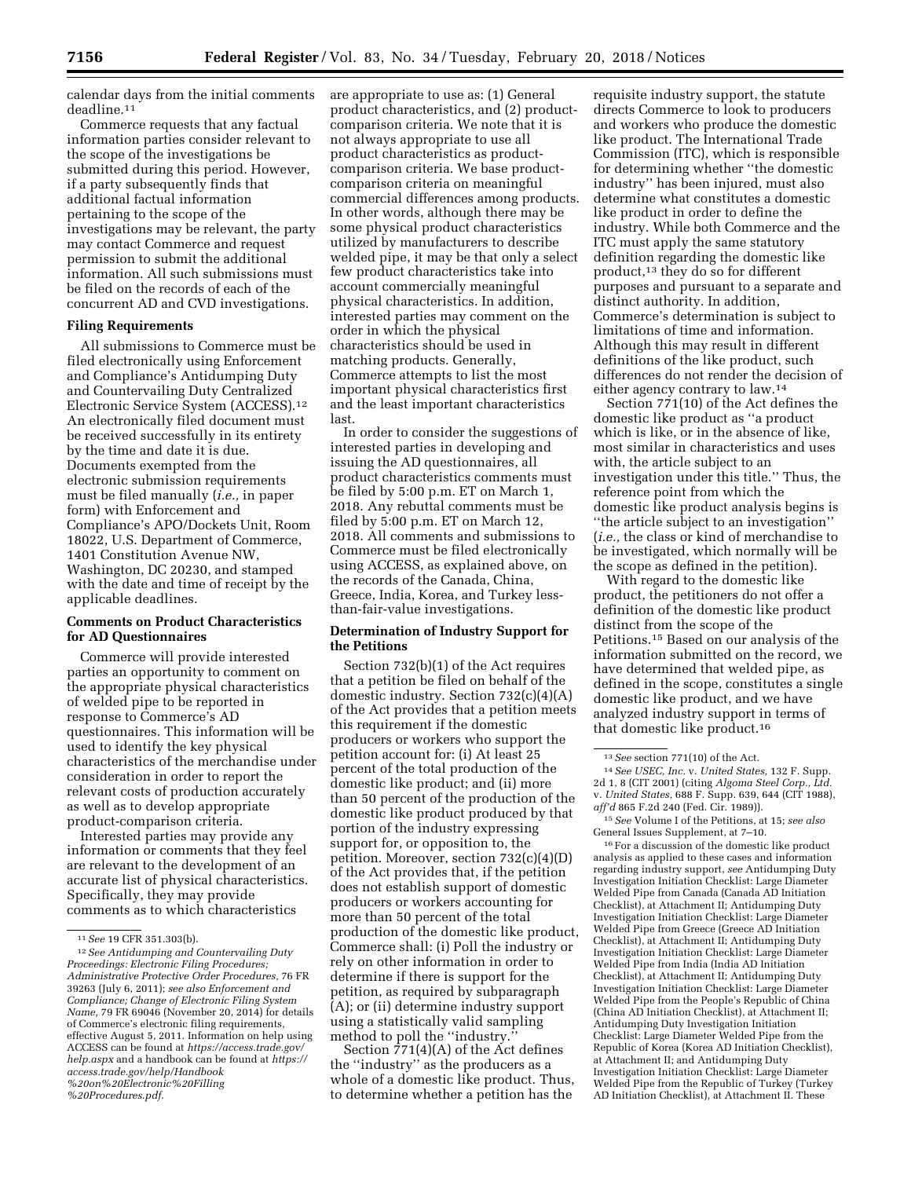calendar days from the initial comments deadline.11

Commerce requests that any factual information parties consider relevant to the scope of the investigations be submitted during this period. However, if a party subsequently finds that additional factual information pertaining to the scope of the investigations may be relevant, the party may contact Commerce and request permission to submit the additional information. All such submissions must be filed on the records of each of the concurrent AD and CVD investigations.

# **Filing Requirements**

All submissions to Commerce must be filed electronically using Enforcement and Compliance's Antidumping Duty and Countervailing Duty Centralized Electronic Service System (ACCESS).12 An electronically filed document must be received successfully in its entirety by the time and date it is due. Documents exempted from the electronic submission requirements must be filed manually (*i.e.,* in paper form) with Enforcement and Compliance's APO/Dockets Unit, Room 18022, U.S. Department of Commerce, 1401 Constitution Avenue NW, Washington, DC 20230, and stamped with the date and time of receipt by the applicable deadlines.

# **Comments on Product Characteristics for AD Questionnaires**

Commerce will provide interested parties an opportunity to comment on the appropriate physical characteristics of welded pipe to be reported in response to Commerce's AD questionnaires. This information will be used to identify the key physical characteristics of the merchandise under consideration in order to report the relevant costs of production accurately as well as to develop appropriate product-comparison criteria.

Interested parties may provide any information or comments that they feel are relevant to the development of an accurate list of physical characteristics. Specifically, they may provide comments as to which characteristics

*[%20Procedures.pdf](https://access.trade.gov/help/Handbook%20on%20Electronic%20Filling%20Procedures.pdf)*.

are appropriate to use as: (1) General product characteristics, and (2) productcomparison criteria. We note that it is not always appropriate to use all product characteristics as productcomparison criteria. We base productcomparison criteria on meaningful commercial differences among products. In other words, although there may be some physical product characteristics utilized by manufacturers to describe welded pipe, it may be that only a select few product characteristics take into account commercially meaningful physical characteristics. In addition, interested parties may comment on the order in which the physical characteristics should be used in matching products. Generally, Commerce attempts to list the most important physical characteristics first and the least important characteristics last.

In order to consider the suggestions of interested parties in developing and issuing the AD questionnaires, all product characteristics comments must be filed by 5:00 p.m. ET on March 1, 2018. Any rebuttal comments must be filed by 5:00 p.m. ET on March 12, 2018. All comments and submissions to Commerce must be filed electronically using ACCESS, as explained above, on the records of the Canada, China, Greece, India, Korea, and Turkey lessthan-fair-value investigations.

# **Determination of Industry Support for the Petitions**

Section 732(b)(1) of the Act requires that a petition be filed on behalf of the domestic industry. Section 732(c)(4)(A) of the Act provides that a petition meets this requirement if the domestic producers or workers who support the petition account for: (i) At least 25 percent of the total production of the domestic like product; and (ii) more than 50 percent of the production of the domestic like product produced by that portion of the industry expressing support for, or opposition to, the petition. Moreover, section 732(c)(4)(D) of the Act provides that, if the petition does not establish support of domestic producers or workers accounting for more than 50 percent of the total production of the domestic like product, Commerce shall: (i) Poll the industry or rely on other information in order to determine if there is support for the petition, as required by subparagraph (A); or (ii) determine industry support using a statistically valid sampling method to poll the ''industry.''

Section 771(4)(A) of the Act defines the ''industry'' as the producers as a whole of a domestic like product. Thus, to determine whether a petition has the

requisite industry support, the statute directs Commerce to look to producers and workers who produce the domestic like product. The International Trade Commission (ITC), which is responsible for determining whether ''the domestic industry'' has been injured, must also determine what constitutes a domestic like product in order to define the industry. While both Commerce and the ITC must apply the same statutory definition regarding the domestic like product,13 they do so for different purposes and pursuant to a separate and distinct authority. In addition, Commerce's determination is subject to limitations of time and information. Although this may result in different definitions of the like product, such differences do not render the decision of either agency contrary to law.14

Section 771(10) of the Act defines the domestic like product as ''a product which is like, or in the absence of like, most similar in characteristics and uses with, the article subject to an investigation under this title.'' Thus, the reference point from which the domestic like product analysis begins is ''the article subject to an investigation'' (*i.e.,* the class or kind of merchandise to be investigated, which normally will be the scope as defined in the petition).

With regard to the domestic like product, the petitioners do not offer a definition of the domestic like product distinct from the scope of the Petitions.15 Based on our analysis of the information submitted on the record, we have determined that welded pipe, as defined in the scope, constitutes a single domestic like product, and we have analyzed industry support in terms of that domestic like product.16

16For a discussion of the domestic like product analysis as applied to these cases and information regarding industry support, *see* Antidumping Duty Investigation Initiation Checklist: Large Diameter Welded Pipe from Canada (Canada AD Initiation Checklist), at Attachment II; Antidumping Duty Investigation Initiation Checklist: Large Diameter Welded Pipe from Greece (Greece AD Initiation Checklist), at Attachment II; Antidumping Duty Investigation Initiation Checklist: Large Diameter Welded Pipe from India (India AD Initiation Checklist), at Attachment II; Antidumping Duty Investigation Initiation Checklist: Large Diameter Welded Pipe from the People's Republic of China (China AD Initiation Checklist), at Attachment II; Antidumping Duty Investigation Initiation Checklist: Large Diameter Welded Pipe from the Republic of Korea (Korea AD Initiation Checklist), at Attachment II; and Antidumping Duty Investigation Initiation Checklist: Large Diameter Welded Pipe from the Republic of Turkey (Turkey AD Initiation Checklist), at Attachment II. These

<sup>11</sup>*See* 19 CFR 351.303(b).

<sup>12</sup>*See Antidumping and Countervailing Duty Proceedings: Electronic Filing Procedures; Administrative Protective Order Procedures,* 76 FR 39263 (July 6, 2011); *see also Enforcement and Compliance; Change of Electronic Filing System Name,* 79 FR 69046 (November 20, 2014) for details of Commerce's electronic filing requirements, effective August 5, 2011. Information on help using ACCESS can be found at *[https://access.trade.gov/](https://access.trade.gov/help.aspx)  [help.aspx](https://access.trade.gov/help.aspx)* and a handbook can be found at *[https://](https://access.trade.gov/help/Handbook%20on%20Electronic%20Filling%20Procedures.pdf)  [access.trade.gov/help/Handbook](https://access.trade.gov/help/Handbook%20on%20Electronic%20Filling%20Procedures.pdf) [%20on%20Electronic%20Filling](https://access.trade.gov/help/Handbook%20on%20Electronic%20Filling%20Procedures.pdf)*

<sup>13</sup>*See* section 771(10) of the Act.

<sup>14</sup>*See USEC, Inc.* v. *United States,* 132 F. Supp. 2d 1, 8 (CIT 2001) (citing *Algoma Steel Corp., Ltd.*  v. *United States,* 688 F. Supp. 639, 644 (CIT 1988), *aff'd* 865 F.2d 240 (Fed. Cir. 1989)).

<sup>15</sup>*See* Volume I of the Petitions, at 15; *see also*  General Issues Supplement, at 7–10.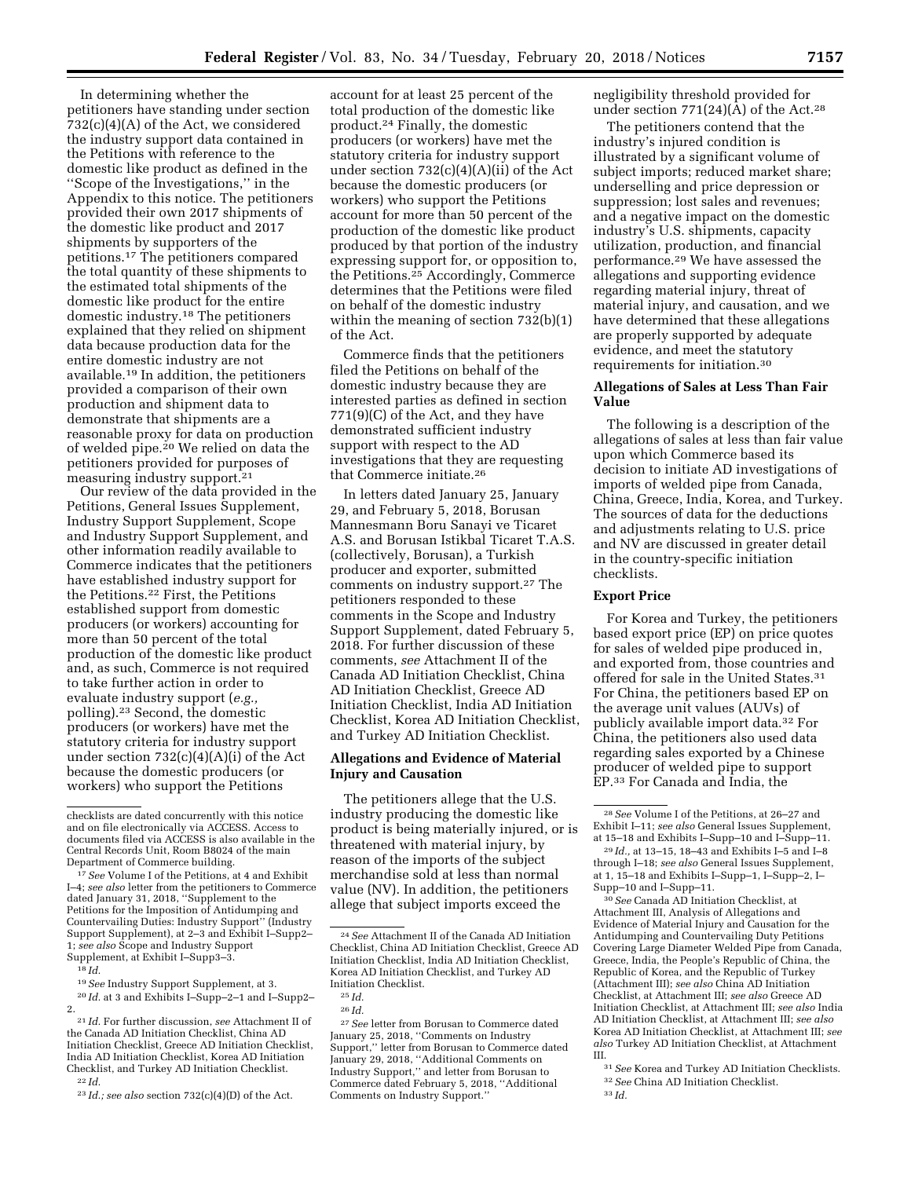In determining whether the petitioners have standing under section 732(c)(4)(A) of the Act, we considered the industry support data contained in the Petitions with reference to the domestic like product as defined in the ''Scope of the Investigations,'' in the Appendix to this notice. The petitioners provided their own 2017 shipments of the domestic like product and 2017 shipments by supporters of the petitions.17 The petitioners compared the total quantity of these shipments to the estimated total shipments of the domestic like product for the entire domestic industry.18 The petitioners explained that they relied on shipment data because production data for the entire domestic industry are not available.19 In addition, the petitioners provided a comparison of their own production and shipment data to demonstrate that shipments are a reasonable proxy for data on production of welded pipe.<sup>20</sup> We relied on data the petitioners provided for purposes of measuring industry support.21

Our review of the data provided in the Petitions, General Issues Supplement, Industry Support Supplement, Scope and Industry Support Supplement, and other information readily available to Commerce indicates that the petitioners have established industry support for the Petitions.22 First, the Petitions established support from domestic producers (or workers) accounting for more than 50 percent of the total production of the domestic like product and, as such, Commerce is not required to take further action in order to evaluate industry support (*e.g.,*  polling).23 Second, the domestic producers (or workers) have met the statutory criteria for industry support under section 732(c)(4)(A)(i) of the Act because the domestic producers (or workers) who support the Petitions

account for at least 25 percent of the total production of the domestic like product.24 Finally, the domestic producers (or workers) have met the statutory criteria for industry support under section 732(c)(4)(A)(ii) of the Act because the domestic producers (or workers) who support the Petitions account for more than 50 percent of the production of the domestic like product produced by that portion of the industry expressing support for, or opposition to, the Petitions.25 Accordingly, Commerce determines that the Petitions were filed on behalf of the domestic industry within the meaning of section 732(b)(1) of the Act.

Commerce finds that the petitioners filed the Petitions on behalf of the domestic industry because they are interested parties as defined in section 771(9)(C) of the Act, and they have demonstrated sufficient industry support with respect to the AD investigations that they are requesting that Commerce initiate.26

In letters dated January 25, January 29, and February 5, 2018, Borusan Mannesmann Boru Sanayi ve Ticaret A.S. and Borusan Istikbal Ticaret T.A.S. (collectively, Borusan), a Turkish producer and exporter, submitted comments on industry support.27 The petitioners responded to these comments in the Scope and Industry Support Supplement, dated February 5, 2018. For further discussion of these comments, *see* Attachment II of the Canada AD Initiation Checklist, China AD Initiation Checklist, Greece AD Initiation Checklist, India AD Initiation Checklist, Korea AD Initiation Checklist, and Turkey AD Initiation Checklist.

# **Allegations and Evidence of Material Injury and Causation**

The petitioners allege that the U.S. industry producing the domestic like product is being materially injured, or is threatened with material injury, by reason of the imports of the subject merchandise sold at less than normal value (NV). In addition, the petitioners allege that subject imports exceed the

27*See* letter from Borusan to Commerce dated January 25, 2018, ''Comments on Industry Support,'' letter from Borusan to Commerce dated January 29, 2018, ''Additional Comments on Industry Support,'' and letter from Borusan to Commerce dated February 5, 2018, ''Additional Comments on Industry Support.''

negligibility threshold provided for under section  $771(24)(A)$  of the Act.<sup>28</sup>

The petitioners contend that the industry's injured condition is illustrated by a significant volume of subject imports; reduced market share; underselling and price depression or suppression; lost sales and revenues; and a negative impact on the domestic industry's U.S. shipments, capacity utilization, production, and financial performance.29 We have assessed the allegations and supporting evidence regarding material injury, threat of material injury, and causation, and we have determined that these allegations are properly supported by adequate evidence, and meet the statutory requirements for initiation.30

# **Allegations of Sales at Less Than Fair Value**

The following is a description of the allegations of sales at less than fair value upon which Commerce based its decision to initiate AD investigations of imports of welded pipe from Canada, China, Greece, India, Korea, and Turkey. The sources of data for the deductions and adjustments relating to U.S. price and NV are discussed in greater detail in the country-specific initiation checklists.

### **Export Price**

For Korea and Turkey, the petitioners based export price (EP) on price quotes for sales of welded pipe produced in, and exported from, those countries and offered for sale in the United States.31 For China, the petitioners based EP on the average unit values (AUVs) of publicly available import data.32 For China, the petitioners also used data regarding sales exported by a Chinese producer of welded pipe to support EP.33 For Canada and India, the

30*See* Canada AD Initiation Checklist, at Attachment III, Analysis of Allegations and Evidence of Material Injury and Causation for the Antidumping and Countervailing Duty Petitions Covering Large Diameter Welded Pipe from Canada, Greece, India, the People's Republic of China, the Republic of Korea, and the Republic of Turkey (Attachment III); *see also* China AD Initiation Checklist, at Attachment III; *see also* Greece AD Initiation Checklist, at Attachment III; *see also* India AD Initiation Checklist, at Attachment III; *see also*  Korea AD Initiation Checklist, at Attachment III; *see also* Turkey AD Initiation Checklist, at Attachment III.

31*See* Korea and Turkey AD Initiation Checklists. 32*See* China AD Initiation Checklist.

checklists are dated concurrently with this notice and on file electronically via ACCESS. Access to documents filed via ACCESS is also available in the Central Records Unit, Room B8024 of the main

<sup>&</sup>lt;sup>17</sup> See Volume I of the Petitions, at 4 and Exhibit I–4; *see also* letter from the petitioners to Commerce dated January 31, 2018, ''Supplement to the Petitions for the Imposition of Antidumping and Countervailing Duties: Industry Support'' (Industry Support Supplement), at 2–3 and Exhibit I–Supp2– 1; *see also* Scope and Industry Support Supplement, at Exhibit I–Supp3–3.

<sup>18</sup> *Id.* 

<sup>19</sup>*See* Industry Support Supplement, at 3.

<sup>20</sup> *Id.* at 3 and Exhibits I–Supp–2–1 and I–Supp2– 2.

<sup>21</sup> *Id.* For further discussion, *see* Attachment II of the Canada AD Initiation Checklist, China AD Initiation Checklist, Greece AD Initiation Checklist, India AD Initiation Checklist, Korea AD Initiation Checklist, and Turkey AD Initiation Checklist. 22 *Id.* 

<sup>23</sup> *Id.; see also* section 732(c)(4)(D) of the Act.

<sup>24</sup>*See* Attachment II of the Canada AD Initiation Checklist, China AD Initiation Checklist, Greece AD Initiation Checklist, India AD Initiation Checklist, Korea AD Initiation Checklist, and Turkey AD Initiation Checklist.

<sup>25</sup> *Id.* 

<sup>26</sup> *Id.* 

<sup>28</sup>*See* Volume I of the Petitions, at 26–27 and Exhibit I–11; *see also* General Issues Supplement, at 15–18 and Exhibits I–Supp–10 and I–Supp–11.

<sup>29</sup> *Id.,* at 13–15, 18–43 and Exhibits I–5 and I–8 through I–18; *see also* General Issues Supplement, at 1, 15–18 and Exhibits I–Supp–1, I–Supp–2, I– Supp–10 and I–Supp–11.

<sup>33</sup> *Id.*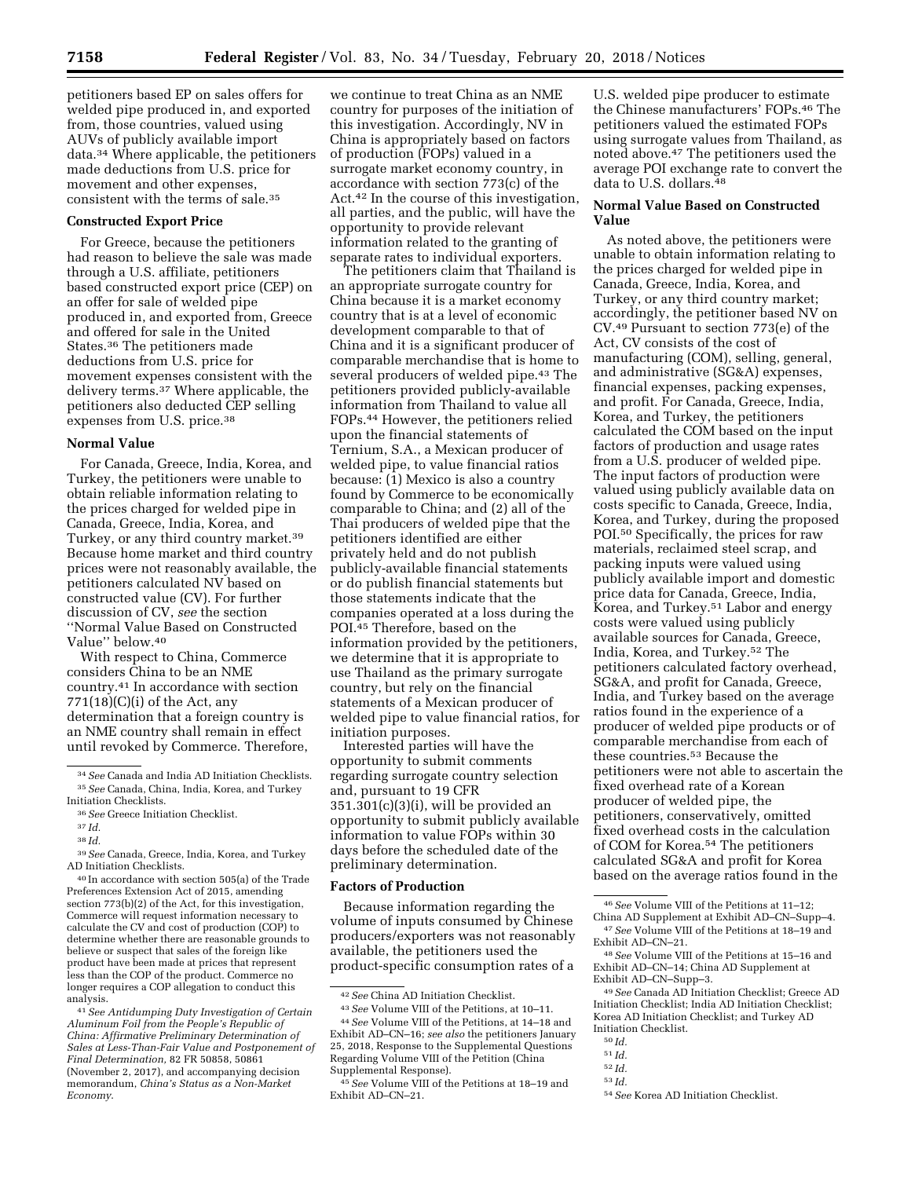petitioners based EP on sales offers for welded pipe produced in, and exported from, those countries, valued using AUVs of publicly available import data.34 Where applicable, the petitioners made deductions from U.S. price for movement and other expenses, consistent with the terms of sale.35

### **Constructed Export Price**

For Greece, because the petitioners had reason to believe the sale was made through a U.S. affiliate, petitioners based constructed export price (CEP) on an offer for sale of welded pipe produced in, and exported from, Greece and offered for sale in the United States.36 The petitioners made deductions from U.S. price for movement expenses consistent with the delivery terms.37 Where applicable, the petitioners also deducted CEP selling expenses from U.S. price.38

## **Normal Value**

For Canada, Greece, India, Korea, and Turkey, the petitioners were unable to obtain reliable information relating to the prices charged for welded pipe in Canada, Greece, India, Korea, and Turkey, or any third country market.39 Because home market and third country prices were not reasonably available, the petitioners calculated NV based on constructed value (CV). For further discussion of CV, *see* the section ''Normal Value Based on Constructed Value'' below.40

With respect to China, Commerce considers China to be an NME country.41 In accordance with section  $771(18)(C)(i)$  of the Act, any determination that a foreign country is an NME country shall remain in effect until revoked by Commerce. Therefore,

38 *Id.* 

39*See* Canada, Greece, India, Korea, and Turkey AD Initiation Checklists.

40 In accordance with section 505(a) of the Trade Preferences Extension Act of 2015, amending section 773(b)(2) of the Act, for this investigation, Commerce will request information necessary to calculate the CV and cost of production (COP) to determine whether there are reasonable grounds to believe or suspect that sales of the foreign like product have been made at prices that represent less than the COP of the product. Commerce no longer requires a COP allegation to conduct this analysis.

41*See Antidumping Duty Investigation of Certain Aluminum Foil from the People's Republic of China: Affirmative Preliminary Determination of Sales at Less-Than-Fair Value and Postponement of Final Determination,* 82 FR 50858, 50861 (November 2, 2017), and accompanying decision memorandum, *China's Status as a Non-Market Economy*.

we continue to treat China as an NME country for purposes of the initiation of this investigation. Accordingly, NV in China is appropriately based on factors of production (FOPs) valued in a surrogate market economy country, in accordance with section 773(c) of the Act.42 In the course of this investigation, all parties, and the public, will have the opportunity to provide relevant information related to the granting of separate rates to individual exporters.

The petitioners claim that Thailand is an appropriate surrogate country for China because it is a market economy country that is at a level of economic development comparable to that of China and it is a significant producer of comparable merchandise that is home to several producers of welded pipe.43 The petitioners provided publicly-available information from Thailand to value all FOPs.44 However, the petitioners relied upon the financial statements of Ternium, S.A., a Mexican producer of welded pipe, to value financial ratios because: (1) Mexico is also a country found by Commerce to be economically comparable to China; and (2) all of the Thai producers of welded pipe that the petitioners identified are either privately held and do not publish publicly-available financial statements or do publish financial statements but those statements indicate that the companies operated at a loss during the POI.45 Therefore, based on the information provided by the petitioners, we determine that it is appropriate to use Thailand as the primary surrogate country, but rely on the financial statements of a Mexican producer of welded pipe to value financial ratios, for initiation purposes.

Interested parties will have the opportunity to submit comments regarding surrogate country selection and, pursuant to 19 CFR  $351.301(c)(3)(i)$ , will be provided an opportunity to submit publicly available information to value FOPs within 30 days before the scheduled date of the preliminary determination.

#### **Factors of Production**

Because information regarding the volume of inputs consumed by Chinese producers/exporters was not reasonably available, the petitioners used the product-specific consumption rates of a

44*See* Volume VIII of the Petitions, at 14–18 and Exhibit AD–CN–16; *see also* the petitioners January 25, 2018, Response to the Supplemental Questions Regarding Volume VIII of the Petition (China Supplemental Response).

U.S. welded pipe producer to estimate the Chinese manufacturers' FOPs.46 The petitioners valued the estimated FOPs using surrogate values from Thailand, as noted above.47 The petitioners used the average POI exchange rate to convert the data to U.S. dollars.48

# **Normal Value Based on Constructed Value**

As noted above, the petitioners were unable to obtain information relating to the prices charged for welded pipe in Canada, Greece, India, Korea, and Turkey, or any third country market; accordingly, the petitioner based NV on CV.49 Pursuant to section 773(e) of the Act, CV consists of the cost of manufacturing (COM), selling, general, and administrative (SG&A) expenses, financial expenses, packing expenses, and profit. For Canada, Greece, India, Korea, and Turkey, the petitioners calculated the COM based on the input factors of production and usage rates from a U.S. producer of welded pipe. The input factors of production were valued using publicly available data on costs specific to Canada, Greece, India, Korea, and Turkey, during the proposed POI.50 Specifically, the prices for raw materials, reclaimed steel scrap, and packing inputs were valued using publicly available import and domestic price data for Canada, Greece, India, Korea, and Turkey.51 Labor and energy costs were valued using publicly available sources for Canada, Greece, India, Korea, and Turkey.52 The petitioners calculated factory overhead, SG&A, and profit for Canada, Greece, India, and Turkey based on the average ratios found in the experience of a producer of welded pipe products or of comparable merchandise from each of these countries.53 Because the petitioners were not able to ascertain the fixed overhead rate of a Korean producer of welded pipe, the petitioners, conservatively, omitted fixed overhead costs in the calculation of COM for Korea.54 The petitioners calculated SG&A and profit for Korea based on the average ratios found in the

51 *Id.* 

53 *Id.* 

<sup>34</sup>*See* Canada and India AD Initiation Checklists. 35*See* Canada, China, India, Korea, and Turkey Initiation Checklists.

<sup>36</sup>*See* Greece Initiation Checklist.

<sup>37</sup> *Id.* 

<sup>42</sup>*See* China AD Initiation Checklist.

<sup>43</sup>*See* Volume VIII of the Petitions, at 10–11.

<sup>45</sup>*See* Volume VIII of the Petitions at 18–19 and Exhibit AD–CN–21.

<sup>46</sup>*See* Volume VIII of the Petitions at 11–12;

China AD Supplement at Exhibit AD–CN–Supp–4.

<sup>47</sup>*See* Volume VIII of the Petitions at 18–19 and Exhibit AD–CN–21.

<sup>48</sup>*See* Volume VIII of the Petitions at 15–16 and Exhibit AD–CN–14; China AD Supplement at Exhibit AD–CN–Supp–3.

<sup>49</sup>*See* Canada AD Initiation Checklist; Greece AD Initiation Checklist; India AD Initiation Checklist; Korea AD Initiation Checklist; and Turkey AD Initiation Checklist.

<sup>50</sup> *Id.* 

<sup>52</sup> *Id.* 

<sup>54</sup>*See* Korea AD Initiation Checklist.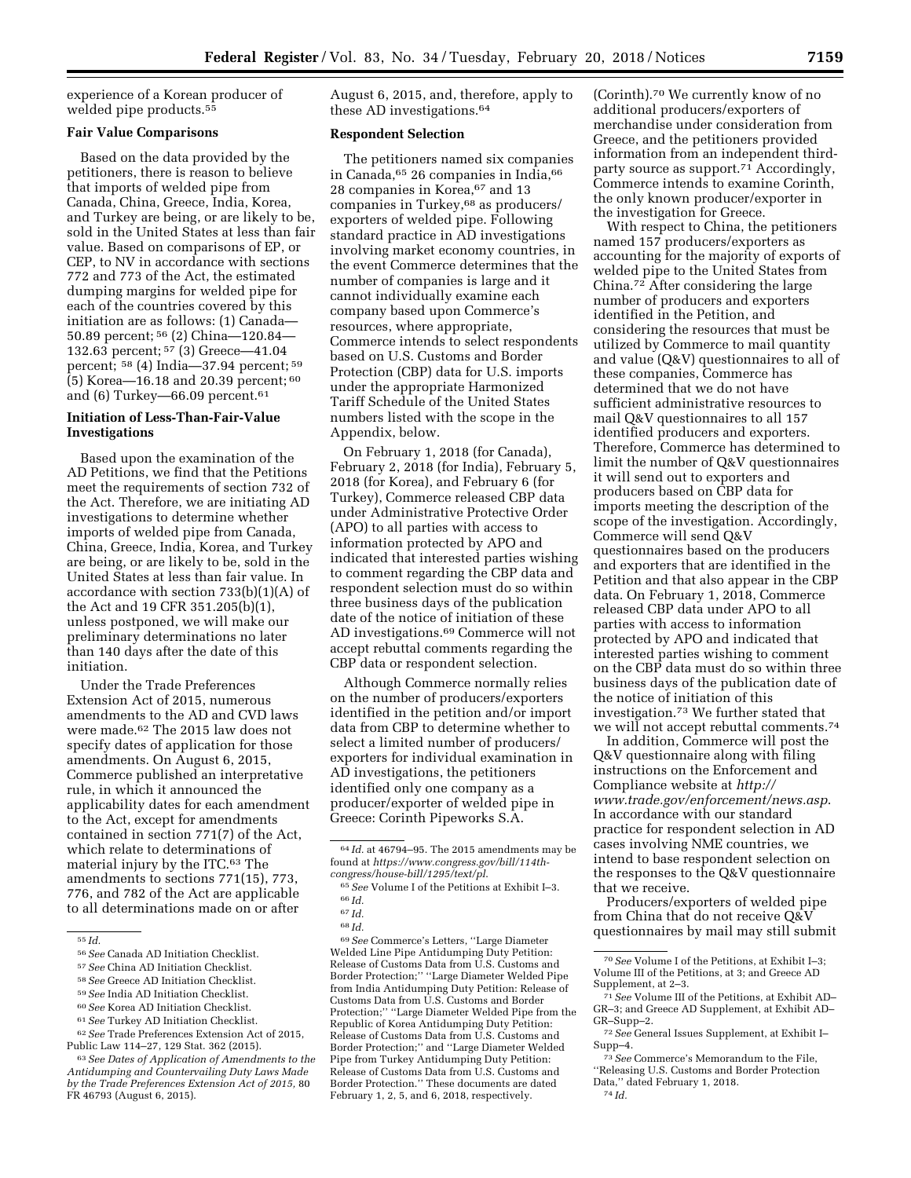experience of a Korean producer of welded pipe products.55

# **Fair Value Comparisons**

Based on the data provided by the petitioners, there is reason to believe that imports of welded pipe from Canada, China, Greece, India, Korea, and Turkey are being, or are likely to be, sold in the United States at less than fair value. Based on comparisons of EP, or CEP, to NV in accordance with sections 772 and 773 of the Act, the estimated dumping margins for welded pipe for each of the countries covered by this initiation are as follows: (1) Canada— 50.89 percent; 56 (2) China—120.84— 132.63 percent; 57 (3) Greece—41.04 percent; 58 (4) India—37.94 percent; 59 (5) Korea—16.18 and 20.39 percent; 60 and  $(6)$  Turkey—66.09 percent.<sup>61</sup>

# **Initiation of Less-Than-Fair-Value Investigations**

Based upon the examination of the AD Petitions, we find that the Petitions meet the requirements of section 732 of the Act. Therefore, we are initiating AD investigations to determine whether imports of welded pipe from Canada, China, Greece, India, Korea, and Turkey are being, or are likely to be, sold in the United States at less than fair value. In accordance with section 733(b)(1)(A) of the Act and 19 CFR 351.205(b)(1), unless postponed, we will make our preliminary determinations no later than 140 days after the date of this initiation.

Under the Trade Preferences Extension Act of 2015, numerous amendments to the AD and CVD laws were made.62 The 2015 law does not specify dates of application for those amendments. On August 6, 2015, Commerce published an interpretative rule, in which it announced the applicability dates for each amendment to the Act, except for amendments contained in section 771(7) of the Act, which relate to determinations of material injury by the ITC.63 The amendments to sections 771(15), 773, 776, and 782 of the Act are applicable to all determinations made on or after

- 58*See* Greece AD Initiation Checklist.
- 59*See* India AD Initiation Checklist.
- 60*See* Korea AD Initiation Checklist.
- 61*See* Turkey AD Initiation Checklist.

62*See* Trade Preferences Extension Act of 2015, Public Law 114–27, 129 Stat. 362 (2015).

63*See Dates of Application of Amendments to the Antidumping and Countervailing Duty Laws Made by the Trade Preferences Extension Act of 2015,* 80 FR 46793 (August 6, 2015).

August 6, 2015, and, therefore, apply to these AD investigations.64

### **Respondent Selection**

The petitioners named six companies in Canada, 65 26 companies in India, 66 28 companies in Korea, 67 and 13 companies in Turkey,68 as producers/ exporters of welded pipe. Following standard practice in AD investigations involving market economy countries, in the event Commerce determines that the number of companies is large and it cannot individually examine each company based upon Commerce's resources, where appropriate, Commerce intends to select respondents based on U.S. Customs and Border Protection (CBP) data for U.S. imports under the appropriate Harmonized Tariff Schedule of the United States numbers listed with the scope in the Appendix, below.

On February 1, 2018 (for Canada), February 2, 2018 (for India), February 5, 2018 (for Korea), and February 6 (for Turkey), Commerce released CBP data under Administrative Protective Order (APO) to all parties with access to information protected by APO and indicated that interested parties wishing to comment regarding the CBP data and respondent selection must do so within three business days of the publication date of the notice of initiation of these AD investigations.69 Commerce will not accept rebuttal comments regarding the CBP data or respondent selection.

Although Commerce normally relies on the number of producers/exporters identified in the petition and/or import data from CBP to determine whether to select a limited number of producers/ exporters for individual examination in AD investigations, the petitioners identified only one company as a producer/exporter of welded pipe in Greece: Corinth Pipeworks S.A.

69*See* Commerce's Letters, ''Large Diameter Welded Line Pipe Antidumping Duty Petition: Release of Customs Data from U.S. Customs and Border Protection;'' ''Large Diameter Welded Pipe from India Antidumping Duty Petition: Release of Customs Data from U.S. Customs and Border Protection;'' ''Large Diameter Welded Pipe from the Republic of Korea Antidumping Duty Petition: Release of Customs Data from U.S. Customs and Border Protection;'' and ''Large Diameter Welded Pipe from Turkey Antidumping Duty Petition: Release of Customs Data from U.S. Customs and Border Protection.'' These documents are dated February 1, 2, 5, and 6, 2018, respectively.

(Corinth).70 We currently know of no additional producers/exporters of merchandise under consideration from Greece, and the petitioners provided information from an independent thirdparty source as support.71 Accordingly, Commerce intends to examine Corinth, the only known producer/exporter in the investigation for Greece.

With respect to China, the petitioners named 157 producers/exporters as accounting for the majority of exports of welded pipe to the United States from China.72 After considering the large number of producers and exporters identified in the Petition, and considering the resources that must be utilized by Commerce to mail quantity and value (Q&V) questionnaires to all of these companies, Commerce has determined that we do not have sufficient administrative resources to mail Q&V questionnaires to all 157 identified producers and exporters. Therefore, Commerce has determined to limit the number of Q&V questionnaires it will send out to exporters and producers based on CBP data for imports meeting the description of the scope of the investigation. Accordingly, Commerce will send Q&V questionnaires based on the producers and exporters that are identified in the Petition and that also appear in the CBP data. On February 1, 2018, Commerce released CBP data under APO to all parties with access to information protected by APO and indicated that interested parties wishing to comment on the CBP data must do so within three business days of the publication date of the notice of initiation of this investigation.73 We further stated that we will not accept rebuttal comments.74

In addition, Commerce will post the Q&V questionnaire along with filing instructions on the Enforcement and Compliance website at *[http://](http://www.trade.gov/enforcement/news.asp) [www.trade.gov/enforcement/news.asp](http://www.trade.gov/enforcement/news.asp)*. In accordance with our standard practice for respondent selection in AD cases involving NME countries, we intend to base respondent selection on the responses to the Q&V questionnaire that we receive.

Producers/exporters of welded pipe from China that do not receive Q&V questionnaires by mail may still submit

73*See* Commerce's Memorandum to the File, ''Releasing U.S. Customs and Border Protection Data,'' dated February 1, 2018.

74 *Id.* 

<sup>55</sup> *Id.* 

<sup>56</sup>*See* Canada AD Initiation Checklist.

<sup>57</sup>*See* China AD Initiation Checklist.

<sup>64</sup> *Id.* at 46794–95. The 2015 amendments may be found at *[https://www.congress.gov/bill/114th](https://www.congress.gov/bill/114th-congress/house-bill/1295/text/pl)[congress/house-bill/1295/text/pl](https://www.congress.gov/bill/114th-congress/house-bill/1295/text/pl)*.

<sup>65</sup>*See* Volume I of the Petitions at Exhibit I–3. 66 *Id.* 

<sup>67</sup> *Id.* 

<sup>68</sup> *Id.* 

<sup>70</sup>*See* Volume I of the Petitions, at Exhibit I–3; Volume III of the Petitions, at 3; and Greece AD Supplement, at 2–3. 71*See* Volume III of the Petitions, at Exhibit AD–

GR–3; and Greece AD Supplement, at Exhibit AD–

<sup>&</sup>lt;sup>72</sup> See General Issues Supplement, at Exhibit I– Supp–4.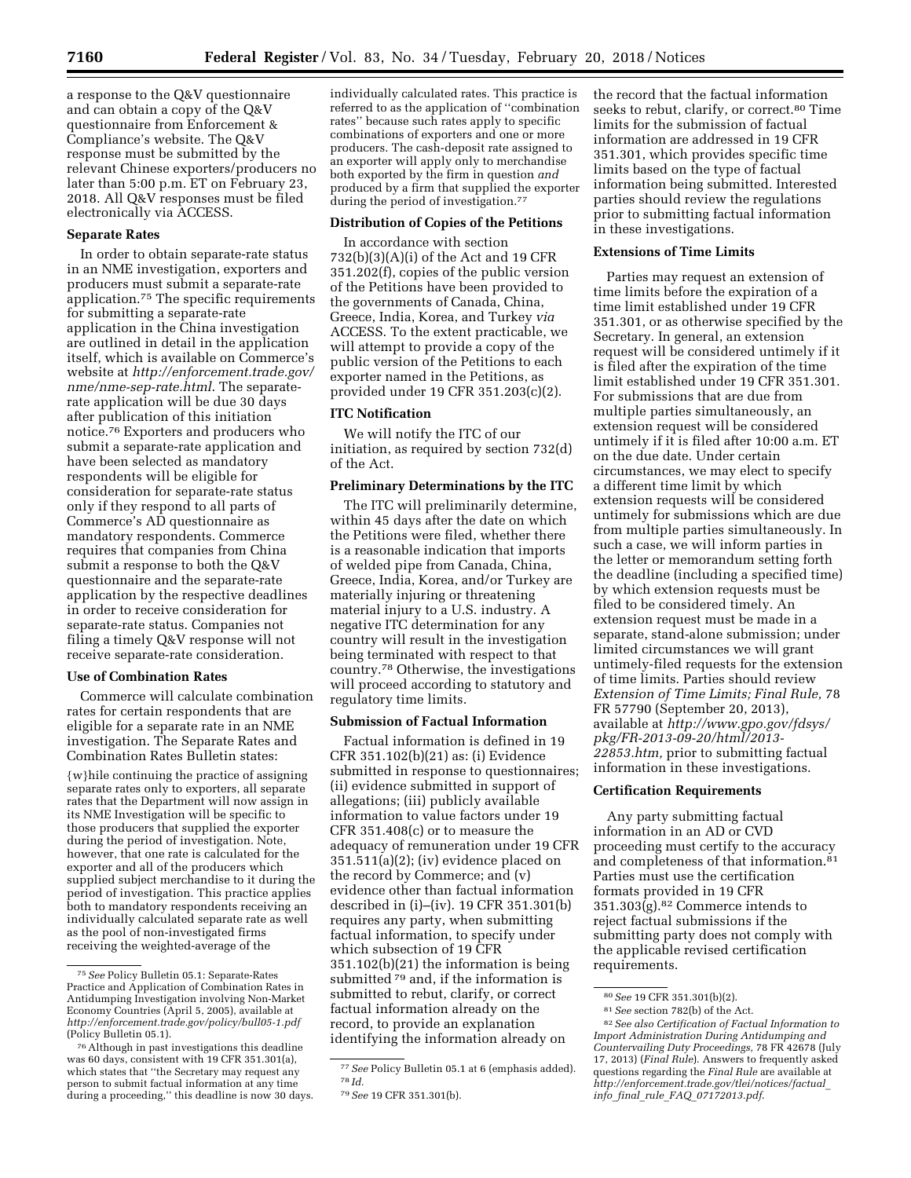a response to the Q&V questionnaire and can obtain a copy of the Q&V questionnaire from Enforcement & Compliance's website. The Q&V response must be submitted by the relevant Chinese exporters/producers no later than 5:00 p.m. ET on February 23, 2018. All Q&V responses must be filed electronically via ACCESS.

# **Separate Rates**

In order to obtain separate-rate status in an NME investigation, exporters and producers must submit a separate-rate application.75 The specific requirements for submitting a separate-rate application in the China investigation are outlined in detail in the application itself, which is available on Commerce's website at *[http://enforcement.trade.gov/](http://enforcement.trade.gov/nme/nme-sep-rate.html) [nme/nme-sep-rate.html](http://enforcement.trade.gov/nme/nme-sep-rate.html)*. The separaterate application will be due 30 days after publication of this initiation notice.76 Exporters and producers who submit a separate-rate application and have been selected as mandatory respondents will be eligible for consideration for separate-rate status only if they respond to all parts of Commerce's AD questionnaire as mandatory respondents. Commerce requires that companies from China submit a response to both the Q&V questionnaire and the separate-rate application by the respective deadlines in order to receive consideration for separate-rate status. Companies not filing a timely Q&V response will not receive separate-rate consideration.

### **Use of Combination Rates**

Commerce will calculate combination rates for certain respondents that are eligible for a separate rate in an NME investigation. The Separate Rates and Combination Rates Bulletin states:

{w}hile continuing the practice of assigning separate rates only to exporters, all separate rates that the Department will now assign in its NME Investigation will be specific to those producers that supplied the exporter during the period of investigation. Note, however, that one rate is calculated for the exporter and all of the producers which supplied subject merchandise to it during the period of investigation. This practice applies both to mandatory respondents receiving an individually calculated separate rate as well as the pool of non-investigated firms receiving the weighted-average of the

individually calculated rates. This practice is referred to as the application of ''combination rates'' because such rates apply to specific combinations of exporters and one or more producers. The cash-deposit rate assigned to an exporter will apply only to merchandise both exported by the firm in question *and*  produced by a firm that supplied the exporter during the period of investigation.<sup>77</sup>

# **Distribution of Copies of the Petitions**

In accordance with section 732(b)(3)(A)(i) of the Act and 19 CFR 351.202(f), copies of the public version of the Petitions have been provided to the governments of Canada, China, Greece, India, Korea, and Turkey *via*  ACCESS. To the extent practicable, we will attempt to provide a copy of the public version of the Petitions to each exporter named in the Petitions, as provided under 19 CFR 351.203(c)(2).

### **ITC Notification**

We will notify the ITC of our initiation, as required by section 732(d) of the Act.

# **Preliminary Determinations by the ITC**

The ITC will preliminarily determine, within 45 days after the date on which the Petitions were filed, whether there is a reasonable indication that imports of welded pipe from Canada, China, Greece, India, Korea, and/or Turkey are materially injuring or threatening material injury to a U.S. industry. A negative ITC determination for any country will result in the investigation being terminated with respect to that country.78 Otherwise, the investigations will proceed according to statutory and regulatory time limits.

# **Submission of Factual Information**

Factual information is defined in 19 CFR 351.102(b)(21) as: (i) Evidence submitted in response to questionnaires; (ii) evidence submitted in support of allegations; (iii) publicly available information to value factors under 19 CFR 351.408(c) or to measure the adequacy of remuneration under 19 CFR 351.511(a)(2); (iv) evidence placed on the record by Commerce; and (v) evidence other than factual information described in (i)–(iv). 19 CFR 351.301(b) requires any party, when submitting factual information, to specify under which subsection of 19 CFR 351.102(b)(21) the information is being submitted 79 and, if the information is submitted to rebut, clarify, or correct factual information already on the record, to provide an explanation identifying the information already on

the record that the factual information seeks to rebut, clarify, or correct.<sup>80</sup> Time limits for the submission of factual information are addressed in 19 CFR 351.301, which provides specific time limits based on the type of factual information being submitted. Interested parties should review the regulations prior to submitting factual information in these investigations.

# **Extensions of Time Limits**

Parties may request an extension of time limits before the expiration of a time limit established under 19 CFR 351.301, or as otherwise specified by the Secretary. In general, an extension request will be considered untimely if it is filed after the expiration of the time limit established under 19 CFR 351.301. For submissions that are due from multiple parties simultaneously, an extension request will be considered untimely if it is filed after 10:00 a.m. ET on the due date. Under certain circumstances, we may elect to specify a different time limit by which extension requests will be considered untimely for submissions which are due from multiple parties simultaneously. In such a case, we will inform parties in the letter or memorandum setting forth the deadline (including a specified time) by which extension requests must be filed to be considered timely. An extension request must be made in a separate, stand-alone submission; under limited circumstances we will grant untimely-filed requests for the extension of time limits. Parties should review *Extension of Time Limits; Final Rule,* 78 FR 57790 (September 20, 2013), available at *[http://www.gpo.gov/fdsys/](http://www.gpo.gov/fdsys/pkg/FR-2013-09-20/html/2013-22853.htm)  [pkg/FR-2013-09-20/html/2013-](http://www.gpo.gov/fdsys/pkg/FR-2013-09-20/html/2013-22853.htm) [22853.htm,](http://www.gpo.gov/fdsys/pkg/FR-2013-09-20/html/2013-22853.htm)* prior to submitting factual information in these investigations.

### **Certification Requirements**

Any party submitting factual information in an AD or CVD proceeding must certify to the accuracy and completeness of that information.81 Parties must use the certification formats provided in 19 CFR 351.303(g).82 Commerce intends to reject factual submissions if the submitting party does not comply with the applicable revised certification requirements.

<sup>75</sup>*See* Policy Bulletin 05.1: Separate-Rates Practice and Application of Combination Rates in Antidumping Investigation involving Non-Market Economy Countries (April 5, 2005), available at *<http://enforcement.trade.gov/policy/bull05-1.pdf>* (Policy Bulletin 05.1).

<sup>76</sup>Although in past investigations this deadline was 60 days, consistent with 19 CFR 351.301(a), which states that ''the Secretary may request any person to submit factual information at any time during a proceeding,'' this deadline is now 30 days.

<sup>77</sup>*See* Policy Bulletin 05.1 at 6 (emphasis added). 78 *Id.* 

<sup>79</sup>*See* 19 CFR 351.301(b).

<sup>80</sup>*See* 19 CFR 351.301(b)(2).

<sup>81</sup>*See* section 782(b) of the Act.

<sup>82</sup>*See also Certification of Factual Information to Import Administration During Antidumping and Countervailing Duty Proceedings,* 78 FR 42678 (July 17, 2013) (*Final Rule*). Answers to frequently asked questions regarding the *Final Rule* are available at *[http://enforcement.trade.gov/tlei/notices/factual](http://enforcement.trade.gov/tlei/notices/factual_info_final_rule_FAQ_07172013.pdf)*\_ *info*\_*final*\_*rule*\_*FAQ*\_*[07172013.pdf](http://enforcement.trade.gov/tlei/notices/factual_info_final_rule_FAQ_07172013.pdf)*.